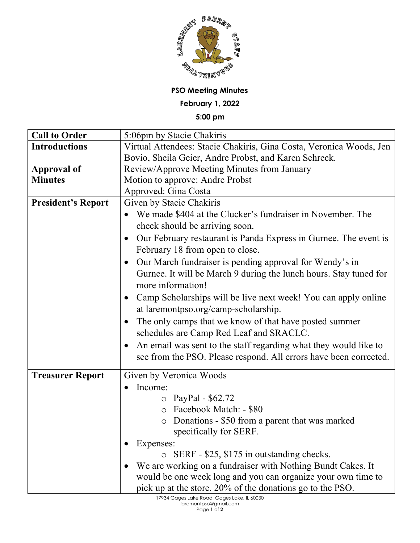

**PSO Meeting Minutes**

**February 1, 2022**

**5:00 pm**

| <b>Call to Order</b>      | 5:06pm by Stacie Chakiris                                                     |
|---------------------------|-------------------------------------------------------------------------------|
| <b>Introductions</b>      | Virtual Attendees: Stacie Chakiris, Gina Costa, Veronica Woods, Jen           |
|                           | Bovio, Sheila Geier, Andre Probst, and Karen Schreck.                         |
| <b>Approval of</b>        | Review/Approve Meeting Minutes from January                                   |
| <b>Minutes</b>            | Motion to approve: Andre Probst                                               |
|                           | Approved: Gina Costa                                                          |
| <b>President's Report</b> | Given by Stacie Chakiris                                                      |
|                           | We made \$404 at the Clucker's fundraiser in November. The                    |
|                           | check should be arriving soon.                                                |
|                           | Our February restaurant is Panda Express in Gurnee. The event is<br>$\bullet$ |
|                           | February 18 from open to close.                                               |
|                           | Our March fundraiser is pending approval for Wendy's in<br>$\bullet$          |
|                           | Gurnee. It will be March 9 during the lunch hours. Stay tuned for             |
|                           | more information!                                                             |
|                           | Camp Scholarships will be live next week! You can apply online<br>$\bullet$   |
|                           | at laremontpso.org/camp-scholarship.                                          |
|                           | The only camps that we know of that have posted summer<br>$\bullet$           |
|                           | schedules are Camp Red Leaf and SRACLC.                                       |
|                           | An email was sent to the staff regarding what they would like to<br>$\bullet$ |
|                           | see from the PSO. Please respond. All errors have been corrected.             |
|                           |                                                                               |
| <b>Treasurer Report</b>   | Given by Veronica Woods                                                       |
|                           | Income:                                                                       |
|                           | PayPal - \$62.72<br>$\circ$                                                   |
|                           | Facebook Match: - \$80<br>$\circ$                                             |
|                           | Donations - \$50 from a parent that was marked<br>$\circlearrowright$         |
|                           | specifically for SERF.                                                        |
|                           | Expenses:                                                                     |
|                           | SERF - \$25, \$175 in outstanding checks.<br>$\circ$                          |
|                           | We are working on a fundraiser with Nothing Bundt Cakes. It                   |
|                           | would be one week long and you can organize your own time to                  |
|                           | pick up at the store. 20% of the donations go to the PSO.                     |